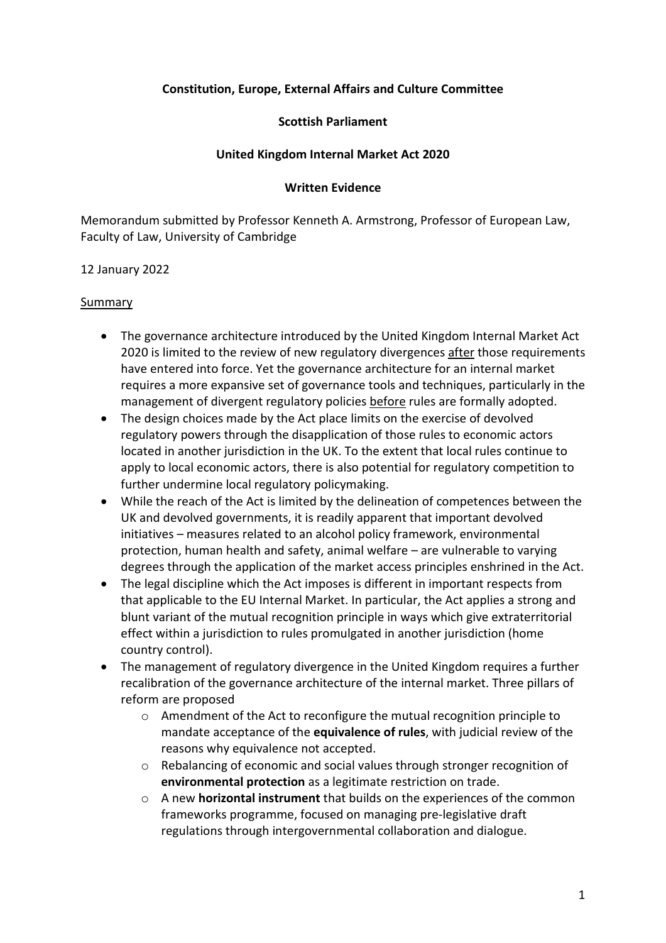## **Constitution, Europe, External Affairs and Culture Committee**

### **Scottish Parliament**

### **United Kingdom Internal Market Act 2020**

#### **Written Evidence**

Memorandum submitted by Professor Kenneth A. Armstrong, Professor of European Law, Faculty of Law, University of Cambridge

### 12 January 2022

### Summary

- The governance architecture introduced by the United Kingdom Internal Market Act 2020 is limited to the review of new regulatory divergences after those requirements have entered into force. Yet the governance architecture for an internal market requires a more expansive set of governance tools and techniques, particularly in the management of divergent regulatory policies before rules are formally adopted.
- The design choices made by the Act place limits on the exercise of devolved regulatory powers through the disapplication of those rules to economic actors located in another jurisdiction in the UK. To the extent that local rules continue to apply to local economic actors, there is also potential for regulatory competition to further undermine local regulatory policymaking.
- While the reach of the Act is limited by the delineation of competences between the UK and devolved governments, it is readily apparent that important devolved initiatives – measures related to an alcohol policy framework, environmental protection, human health and safety, animal welfare – are vulnerable to varying degrees through the application of the market access principles enshrined in the Act.
- The legal discipline which the Act imposes is different in important respects from that applicable to the EU Internal Market. In particular, the Act applies a strong and blunt variant of the mutual recognition principle in ways which give extraterritorial effect within a jurisdiction to rules promulgated in another jurisdiction (home country control).
- The management of regulatory divergence in the United Kingdom requires a further recalibration of the governance architecture of the internal market. Three pillars of reform are proposed
	- o Amendment of the Act to reconfigure the mutual recognition principle to mandate acceptance of the **equivalence of rules**, with judicial review of the reasons why equivalence not accepted.
	- o Rebalancing of economic and social values through stronger recognition of **environmental protection** as a legitimate restriction on trade.
	- o A new **horizontal instrument** that builds on the experiences of the common frameworks programme, focused on managing pre-legislative draft regulations through intergovernmental collaboration and dialogue.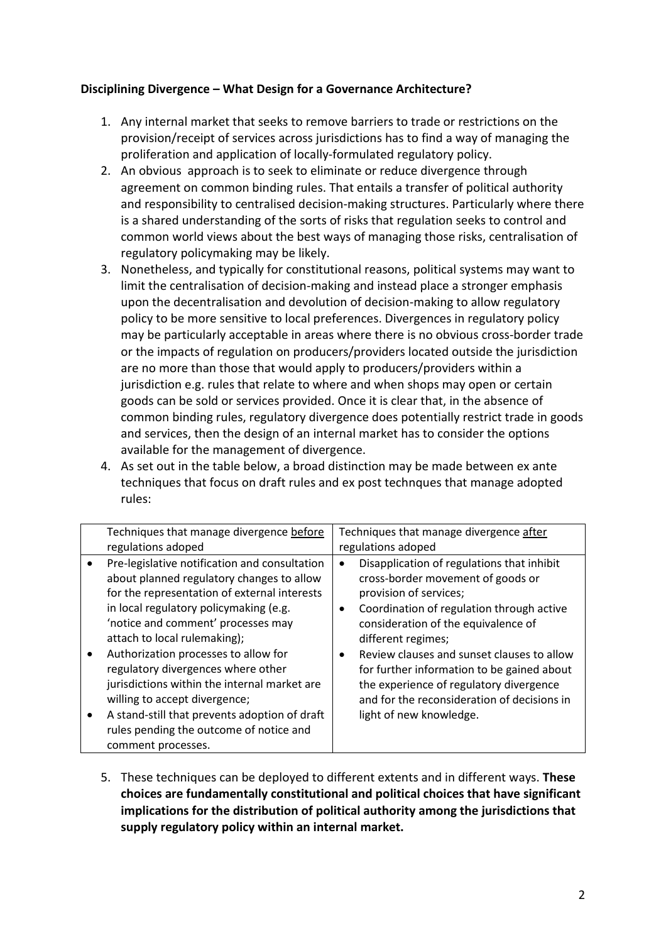## **Disciplining Divergence – What Design for a Governance Architecture?**

- 1. Any internal market that seeks to remove barriers to trade or restrictions on the provision/receipt of services across jurisdictions has to find a way of managing the proliferation and application of locally-formulated regulatory policy.
- 2. An obvious approach is to seek to eliminate or reduce divergence through agreement on common binding rules. That entails a transfer of political authority and responsibility to centralised decision-making structures. Particularly where there is a shared understanding of the sorts of risks that regulation seeks to control and common world views about the best ways of managing those risks, centralisation of regulatory policymaking may be likely.
- 3. Nonetheless, and typically for constitutional reasons, political systems may want to limit the centralisation of decision-making and instead place a stronger emphasis upon the decentralisation and devolution of decision-making to allow regulatory policy to be more sensitive to local preferences. Divergences in regulatory policy may be particularly acceptable in areas where there is no obvious cross-border trade or the impacts of regulation on producers/providers located outside the jurisdiction are no more than those that would apply to producers/providers within a jurisdiction e.g. rules that relate to where and when shops may open or certain goods can be sold or services provided. Once it is clear that, in the absence of common binding rules, regulatory divergence does potentially restrict trade in goods and services, then the design of an internal market has to consider the options available for the management of divergence.
- 4. As set out in the table below, a broad distinction may be made between ex ante techniques that focus on draft rules and ex post technques that manage adopted rules:

|           | Techniques that manage divergence before                                                                                                                                                                                                                                                                                                                                                                                                                                                                              | Techniques that manage divergence after                                                                                                                                                                                                                                                                                                                                                                                              |
|-----------|-----------------------------------------------------------------------------------------------------------------------------------------------------------------------------------------------------------------------------------------------------------------------------------------------------------------------------------------------------------------------------------------------------------------------------------------------------------------------------------------------------------------------|--------------------------------------------------------------------------------------------------------------------------------------------------------------------------------------------------------------------------------------------------------------------------------------------------------------------------------------------------------------------------------------------------------------------------------------|
|           | regulations adoped                                                                                                                                                                                                                                                                                                                                                                                                                                                                                                    | regulations adoped                                                                                                                                                                                                                                                                                                                                                                                                                   |
| $\bullet$ | Pre-legislative notification and consultation<br>about planned regulatory changes to allow<br>for the representation of external interests<br>in local regulatory policymaking (e.g.<br>'notice and comment' processes may<br>attach to local rulemaking);<br>Authorization processes to allow for<br>regulatory divergences where other<br>jurisdictions within the internal market are<br>willing to accept divergence;<br>A stand-still that prevents adoption of draft<br>rules pending the outcome of notice and | Disapplication of regulations that inhibit<br>cross-border movement of goods or<br>provision of services;<br>Coordination of regulation through active<br>consideration of the equivalence of<br>different regimes;<br>Review clauses and sunset clauses to allow<br>for further information to be gained about<br>the experience of regulatory divergence<br>and for the reconsideration of decisions in<br>light of new knowledge. |
|           | comment processes.                                                                                                                                                                                                                                                                                                                                                                                                                                                                                                    |                                                                                                                                                                                                                                                                                                                                                                                                                                      |

5. These techniques can be deployed to different extents and in different ways. **These choices are fundamentally constitutional and political choices that have significant implications for the distribution of political authority among the jurisdictions that supply regulatory policy within an internal market.**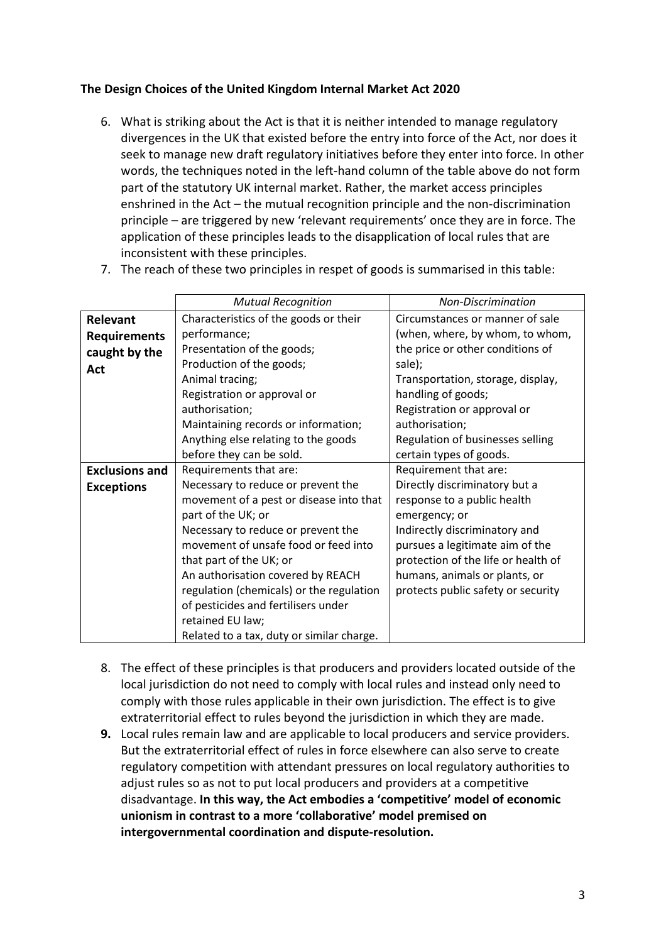# **The Design Choices of the United Kingdom Internal Market Act 2020**

6. What is striking about the Act is that it is neither intended to manage regulatory divergences in the UK that existed before the entry into force of the Act, nor does it seek to manage new draft regulatory initiatives before they enter into force. In other words, the techniques noted in the left-hand column of the table above do not form part of the statutory UK internal market. Rather, the market access principles enshrined in the Act – the mutual recognition principle and the non-discrimination principle – are triggered by new 'relevant requirements' once they are in force. The application of these principles leads to the disapplication of local rules that are inconsistent with these principles.

|  | 7. The reach of these two principles in respet of goods is summarised in this table: |  |  |
|--|--------------------------------------------------------------------------------------|--|--|
|--|--------------------------------------------------------------------------------------|--|--|

|                       | <b>Mutual Recognition</b>                 | Non-Discrimination                  |
|-----------------------|-------------------------------------------|-------------------------------------|
| Relevant              | Characteristics of the goods or their     | Circumstances or manner of sale     |
| <b>Requirements</b>   | performance;                              | (when, where, by whom, to whom,     |
| caught by the         | Presentation of the goods;                | the price or other conditions of    |
| Act                   | Production of the goods;                  | sale);                              |
|                       | Animal tracing;                           | Transportation, storage, display,   |
|                       | Registration or approval or               | handling of goods;                  |
|                       | authorisation;                            | Registration or approval or         |
|                       | Maintaining records or information;       | authorisation;                      |
|                       | Anything else relating to the goods       | Regulation of businesses selling    |
|                       | before they can be sold.                  | certain types of goods.             |
| <b>Exclusions and</b> | Requirements that are:                    | Requirement that are:               |
| <b>Exceptions</b>     | Necessary to reduce or prevent the        | Directly discriminatory but a       |
|                       | movement of a pest or disease into that   | response to a public health         |
|                       | part of the UK; or                        | emergency; or                       |
|                       | Necessary to reduce or prevent the        | Indirectly discriminatory and       |
|                       | movement of unsafe food or feed into      | pursues a legitimate aim of the     |
|                       | that part of the UK; or                   | protection of the life or health of |
|                       | An authorisation covered by REACH         | humans, animals or plants, or       |
|                       | regulation (chemicals) or the regulation  | protects public safety or security  |
|                       | of pesticides and fertilisers under       |                                     |
|                       | retained EU law;                          |                                     |
|                       | Related to a tax, duty or similar charge. |                                     |

- 8. The effect of these principles is that producers and providers located outside of the local jurisdiction do not need to comply with local rules and instead only need to comply with those rules applicable in their own jurisdiction. The effect is to give extraterritorial effect to rules beyond the jurisdiction in which they are made.
- **9.** Local rules remain law and are applicable to local producers and service providers. But the extraterritorial effect of rules in force elsewhere can also serve to create regulatory competition with attendant pressures on local regulatory authorities to adjust rules so as not to put local producers and providers at a competitive disadvantage. **In this way, the Act embodies a 'competitive' model of economic unionism in contrast to a more 'collaborative' model premised on intergovernmental coordination and dispute-resolution.**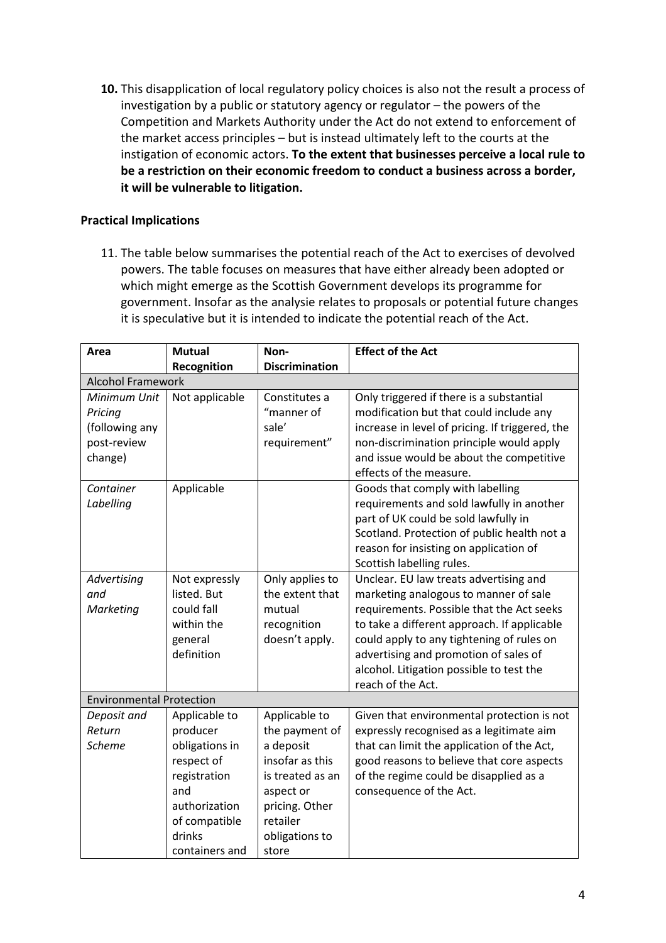**10.** This disapplication of local regulatory policy choices is also not the result a process of investigation by a public or statutory agency or regulator – the powers of the Competition and Markets Authority under the Act do not extend to enforcement of the market access principles – but is instead ultimately left to the courts at the instigation of economic actors. **To the extent that businesses perceive a local rule to be a restriction on their economic freedom to conduct a business across a border, it will be vulnerable to litigation.**

# **Practical Implications**

11. The table below summarises the potential reach of the Act to exercises of devolved powers. The table focuses on measures that have either already been adopted or which might emerge as the Scottish Government develops its programme for government. Insofar as the analysie relates to proposals or potential future changes it is speculative but it is intended to indicate the potential reach of the Act.

| Area                            | <b>Mutual</b>            | Non-                  | <b>Effect of the Act</b>                        |  |  |
|---------------------------------|--------------------------|-----------------------|-------------------------------------------------|--|--|
|                                 | Recognition              | <b>Discrimination</b> |                                                 |  |  |
|                                 | <b>Alcohol Framework</b> |                       |                                                 |  |  |
| Minimum Unit                    | Not applicable           | Constitutes a         | Only triggered if there is a substantial        |  |  |
| Pricing                         |                          | "manner of            | modification but that could include any         |  |  |
| (following any                  |                          | sale'                 | increase in level of pricing. If triggered, the |  |  |
| post-review                     |                          | requirement"          | non-discrimination principle would apply        |  |  |
| change)                         |                          |                       | and issue would be about the competitive        |  |  |
|                                 |                          |                       | effects of the measure.                         |  |  |
| Container                       | Applicable               |                       | Goods that comply with labelling                |  |  |
| Labelling                       |                          |                       | requirements and sold lawfully in another       |  |  |
|                                 |                          |                       | part of UK could be sold lawfully in            |  |  |
|                                 |                          |                       | Scotland. Protection of public health not a     |  |  |
|                                 |                          |                       | reason for insisting on application of          |  |  |
|                                 |                          |                       | Scottish labelling rules.                       |  |  |
| Advertising                     | Not expressly            | Only applies to       | Unclear. EU law treats advertising and          |  |  |
| and                             | listed. But              | the extent that       | marketing analogous to manner of sale           |  |  |
| Marketing                       | could fall               | mutual                | requirements. Possible that the Act seeks       |  |  |
|                                 | within the               | recognition           | to take a different approach. If applicable     |  |  |
|                                 | general                  | doesn't apply.        | could apply to any tightening of rules on       |  |  |
|                                 | definition               |                       | advertising and promotion of sales of           |  |  |
|                                 |                          |                       | alcohol. Litigation possible to test the        |  |  |
|                                 |                          |                       | reach of the Act.                               |  |  |
| <b>Environmental Protection</b> |                          |                       |                                                 |  |  |
| Deposit and                     | Applicable to            | Applicable to         | Given that environmental protection is not      |  |  |
| Return                          | producer                 | the payment of        | expressly recognised as a legitimate aim        |  |  |
| <b>Scheme</b>                   | obligations in           | a deposit             | that can limit the application of the Act,      |  |  |
|                                 | respect of               | insofar as this       | good reasons to believe that core aspects       |  |  |
|                                 | registration             | is treated as an      | of the regime could be disapplied as a          |  |  |
|                                 | and                      | aspect or             | consequence of the Act.                         |  |  |
|                                 | authorization            | pricing. Other        |                                                 |  |  |
|                                 | of compatible            | retailer              |                                                 |  |  |
|                                 | drinks                   | obligations to        |                                                 |  |  |
|                                 | containers and           | store                 |                                                 |  |  |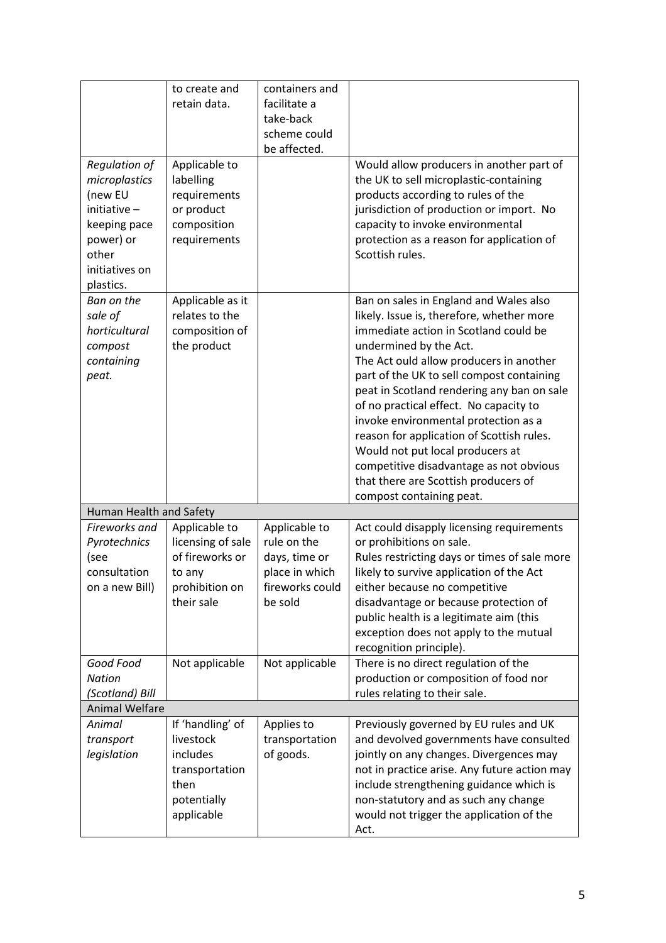|                                                                                                                                         | to create and<br>retain data.                                                                    | containers and<br>facilitate a<br>take-back<br>scheme could<br>be affected.                   |                                                                                                                                                                                                                                                                                                                                                                                                                                                                                                                                                                                |
|-----------------------------------------------------------------------------------------------------------------------------------------|--------------------------------------------------------------------------------------------------|-----------------------------------------------------------------------------------------------|--------------------------------------------------------------------------------------------------------------------------------------------------------------------------------------------------------------------------------------------------------------------------------------------------------------------------------------------------------------------------------------------------------------------------------------------------------------------------------------------------------------------------------------------------------------------------------|
| <b>Regulation of</b><br>microplastics<br>(new EU<br>initiative $-$<br>keeping pace<br>power) or<br>other<br>initiatives on<br>plastics. | Applicable to<br>labelling<br>requirements<br>or product<br>composition<br>requirements          |                                                                                               | Would allow producers in another part of<br>the UK to sell microplastic-containing<br>products according to rules of the<br>jurisdiction of production or import. No<br>capacity to invoke environmental<br>protection as a reason for application of<br>Scottish rules.                                                                                                                                                                                                                                                                                                       |
| Ban on the<br>sale of<br>horticultural<br>compost<br>containing<br>peat.                                                                | Applicable as it<br>relates to the<br>composition of<br>the product                              |                                                                                               | Ban on sales in England and Wales also<br>likely. Issue is, therefore, whether more<br>immediate action in Scotland could be<br>undermined by the Act.<br>The Act ould allow producers in another<br>part of the UK to sell compost containing<br>peat in Scotland rendering any ban on sale<br>of no practical effect. No capacity to<br>invoke environmental protection as a<br>reason for application of Scottish rules.<br>Would not put local producers at<br>competitive disadvantage as not obvious<br>that there are Scottish producers of<br>compost containing peat. |
| Human Health and Safety                                                                                                                 |                                                                                                  |                                                                                               |                                                                                                                                                                                                                                                                                                                                                                                                                                                                                                                                                                                |
| Fireworks and<br>Pyrotechnics<br>(see<br>consultation<br>on a new Bill)                                                                 | Applicable to<br>licensing of sale<br>of fireworks or<br>to any<br>prohibition on<br>their sale  | Applicable to<br>rule on the<br>days, time or<br>place in which<br>fireworks could<br>be sold | Act could disapply licensing requirements<br>or prohibitions on sale.<br>Rules restricting days or times of sale more<br>likely to survive application of the Act<br>either because no competitive<br>disadvantage or because protection of<br>public health is a legitimate aim (this<br>exception does not apply to the mutual<br>recognition principle).                                                                                                                                                                                                                    |
| Good Food<br><b>Nation</b><br>(Scotland) Bill                                                                                           | Not applicable                                                                                   | Not applicable                                                                                | There is no direct regulation of the<br>production or composition of food nor<br>rules relating to their sale.                                                                                                                                                                                                                                                                                                                                                                                                                                                                 |
| <b>Animal Welfare</b>                                                                                                                   |                                                                                                  |                                                                                               |                                                                                                                                                                                                                                                                                                                                                                                                                                                                                                                                                                                |
| Animal<br>transport<br>legislation                                                                                                      | If 'handling' of<br>livestock<br>includes<br>transportation<br>then<br>potentially<br>applicable | Applies to<br>transportation<br>of goods.                                                     | Previously governed by EU rules and UK<br>and devolved governments have consulted<br>jointly on any changes. Divergences may<br>not in practice arise. Any future action may<br>include strengthening guidance which is<br>non-statutory and as such any change<br>would not trigger the application of the<br>Act.                                                                                                                                                                                                                                                            |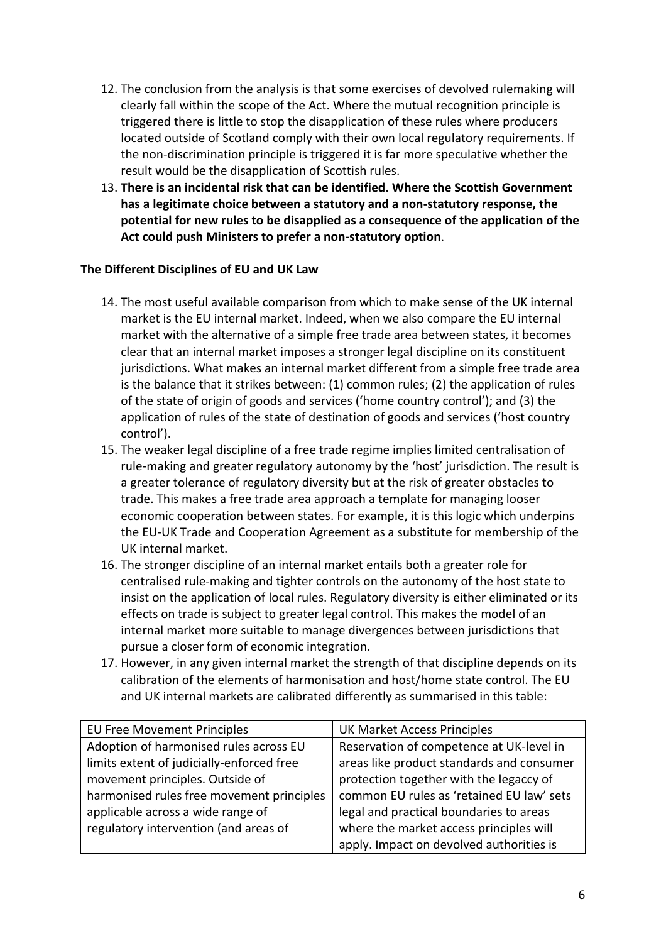- 12. The conclusion from the analysis is that some exercises of devolved rulemaking will clearly fall within the scope of the Act. Where the mutual recognition principle is triggered there is little to stop the disapplication of these rules where producers located outside of Scotland comply with their own local regulatory requirements. If the non-discrimination principle is triggered it is far more speculative whether the result would be the disapplication of Scottish rules.
- 13. **There is an incidental risk that can be identified. Where the Scottish Government has a legitimate choice between a statutory and a non-statutory response, the potential for new rules to be disapplied as a consequence of the application of the Act could push Ministers to prefer a non-statutory option**.

## **The Different Disciplines of EU and UK Law**

- 14. The most useful available comparison from which to make sense of the UK internal market is the EU internal market. Indeed, when we also compare the EU internal market with the alternative of a simple free trade area between states, it becomes clear that an internal market imposes a stronger legal discipline on its constituent jurisdictions. What makes an internal market different from a simple free trade area is the balance that it strikes between: (1) common rules; (2) the application of rules of the state of origin of goods and services ('home country control'); and (3) the application of rules of the state of destination of goods and services ('host country control').
- 15. The weaker legal discipline of a free trade regime implies limited centralisation of rule-making and greater regulatory autonomy by the 'host' jurisdiction. The result is a greater tolerance of regulatory diversity but at the risk of greater obstacles to trade. This makes a free trade area approach a template for managing looser economic cooperation between states. For example, it is this logic which underpins the EU-UK Trade and Cooperation Agreement as a substitute for membership of the UK internal market.
- 16. The stronger discipline of an internal market entails both a greater role for centralised rule-making and tighter controls on the autonomy of the host state to insist on the application of local rules. Regulatory diversity is either eliminated or its effects on trade is subject to greater legal control. This makes the model of an internal market more suitable to manage divergences between jurisdictions that pursue a closer form of economic integration.
- 17. However, in any given internal market the strength of that discipline depends on its calibration of the elements of harmonisation and host/home state control. The EU and UK internal markets are calibrated differently as summarised in this table:

| <b>EU Free Movement Principles</b>        | <b>UK Market Access Principles</b>        |
|-------------------------------------------|-------------------------------------------|
| Adoption of harmonised rules across EU    | Reservation of competence at UK-level in  |
| limits extent of judicially-enforced free | areas like product standards and consumer |
| movement principles. Outside of           | protection together with the legaccy of   |
| harmonised rules free movement principles | common EU rules as 'retained EU law' sets |
| applicable across a wide range of         | legal and practical boundaries to areas   |
| regulatory intervention (and areas of     | where the market access principles will   |
|                                           | apply. Impact on devolved authorities is  |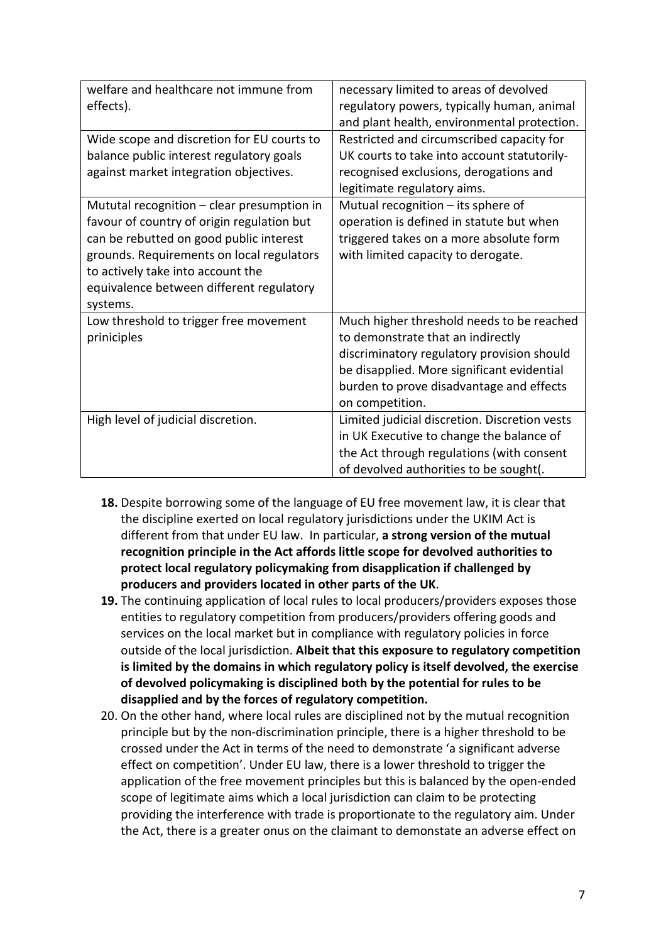| welfare and healthcare not immune from<br>effects).<br>Wide scope and discretion for EU courts to<br>balance public interest regulatory goals<br>against market integration objectives.<br>Mututal recognition $-$ clear presumption in<br>favour of country of origin regulation but<br>can be rebutted on good public interest<br>grounds. Requirements on local regulators<br>to actively take into account the<br>equivalence between different regulatory | necessary limited to areas of devolved<br>regulatory powers, typically human, animal<br>and plant health, environmental protection.<br>Restricted and circumscribed capacity for<br>UK courts to take into account statutorily-<br>recognised exclusions, derogations and<br>legitimate regulatory aims.<br>Mutual recognition - its sphere of<br>operation is defined in statute but when<br>triggered takes on a more absolute form<br>with limited capacity to derogate. |
|----------------------------------------------------------------------------------------------------------------------------------------------------------------------------------------------------------------------------------------------------------------------------------------------------------------------------------------------------------------------------------------------------------------------------------------------------------------|-----------------------------------------------------------------------------------------------------------------------------------------------------------------------------------------------------------------------------------------------------------------------------------------------------------------------------------------------------------------------------------------------------------------------------------------------------------------------------|
| systems.<br>Low threshold to trigger free movement<br>priniciples                                                                                                                                                                                                                                                                                                                                                                                              | Much higher threshold needs to be reached<br>to demonstrate that an indirectly<br>discriminatory regulatory provision should<br>be disapplied. More significant evidential<br>burden to prove disadvantage and effects<br>on competition.                                                                                                                                                                                                                                   |
| High level of judicial discretion.                                                                                                                                                                                                                                                                                                                                                                                                                             | Limited judicial discretion. Discretion vests<br>in UK Executive to change the balance of<br>the Act through regulations (with consent<br>of devolved authorities to be sought(.                                                                                                                                                                                                                                                                                            |

- **18.** Despite borrowing some of the language of EU free movement law, it is clear that the discipline exerted on local regulatory jurisdictions under the UKIM Act is different from that under EU law. In particular, **a strong version of the mutual recognition principle in the Act affords little scope for devolved authorities to protect local regulatory policymaking from disapplication if challenged by producers and providers located in other parts of the UK**.
- **19.** The continuing application of local rules to local producers/providers exposes those entities to regulatory competition from producers/providers offering goods and services on the local market but in compliance with regulatory policies in force outside of the local jurisdiction. **Albeit that this exposure to regulatory competition is limited by the domains in which regulatory policy is itself devolved, the exercise of devolved policymaking is disciplined both by the potential for rules to be disapplied and by the forces of regulatory competition.**
- 20. On the other hand, where local rules are disciplined not by the mutual recognition principle but by the non-discrimination principle, there is a higher threshold to be crossed under the Act in terms of the need to demonstrate 'a significant adverse effect on competition'. Under EU law, there is a lower threshold to trigger the application of the free movement principles but this is balanced by the open-ended scope of legitimate aims which a local jurisdiction can claim to be protecting providing the interference with trade is proportionate to the regulatory aim. Under the Act, there is a greater onus on the claimant to demonstate an adverse effect on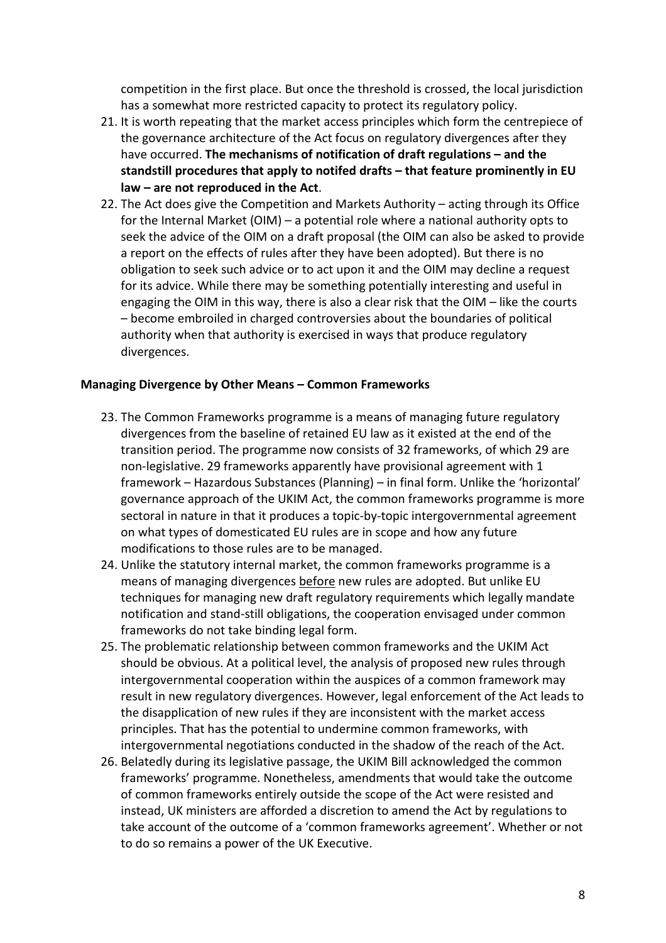competition in the first place. But once the threshold is crossed, the local jurisdiction has a somewhat more restricted capacity to protect its regulatory policy.

- 21. It is worth repeating that the market access principles which form the centrepiece of the governance architecture of the Act focus on regulatory divergences after they have occurred. **The mechanisms of notification of draft regulations – and the standstill procedures that apply to notifed drafts – that feature prominently in EU law – are not reproduced in the Act**.
- 22. The Act does give the Competition and Markets Authority acting through its Office for the Internal Market (OIM) – a potential role where a national authority opts to seek the advice of the OIM on a draft proposal (the OIM can also be asked to provide a report on the effects of rules after they have been adopted). But there is no obligation to seek such advice or to act upon it and the OIM may decline a request for its advice. While there may be something potentially interesting and useful in engaging the OIM in this way, there is also a clear risk that the OIM – like the courts – become embroiled in charged controversies about the boundaries of political authority when that authority is exercised in ways that produce regulatory divergences.

#### **Managing Divergence by Other Means – Common Frameworks**

- 23. The Common Frameworks programme is a means of managing future regulatory divergences from the baseline of retained EU law as it existed at the end of the transition period. The programme now consists of 32 frameworks, of which 29 are non-legislative. 29 frameworks apparently have provisional agreement with 1 framework – Hazardous Substances (Planning) – in final form. Unlike the 'horizontal' governance approach of the UKIM Act, the common frameworks programme is more sectoral in nature in that it produces a topic-by-topic intergovernmental agreement on what types of domesticated EU rules are in scope and how any future modifications to those rules are to be managed.
- 24. Unlike the statutory internal market, the common frameworks programme is a means of managing divergences before new rules are adopted. But unlike EU techniques for managing new draft regulatory requirements which legally mandate notification and stand-still obligations, the cooperation envisaged under common frameworks do not take binding legal form.
- 25. The problematic relationship between common frameworks and the UKIM Act should be obvious. At a political level, the analysis of proposed new rules through intergovernmental cooperation within the auspices of a common framework may result in new regulatory divergences. However, legal enforcement of the Act leads to the disapplication of new rules if they are inconsistent with the market access principles. That has the potential to undermine common frameworks, with intergovernmental negotiations conducted in the shadow of the reach of the Act.
- 26. Belatedly during its legislative passage, the UKIM Bill acknowledged the common frameworks' programme. Nonetheless, amendments that would take the outcome of common frameworks entirely outside the scope of the Act were resisted and instead, UK ministers are afforded a discretion to amend the Act by regulations to take account of the outcome of a 'common frameworks agreement'. Whether or not to do so remains a power of the UK Executive.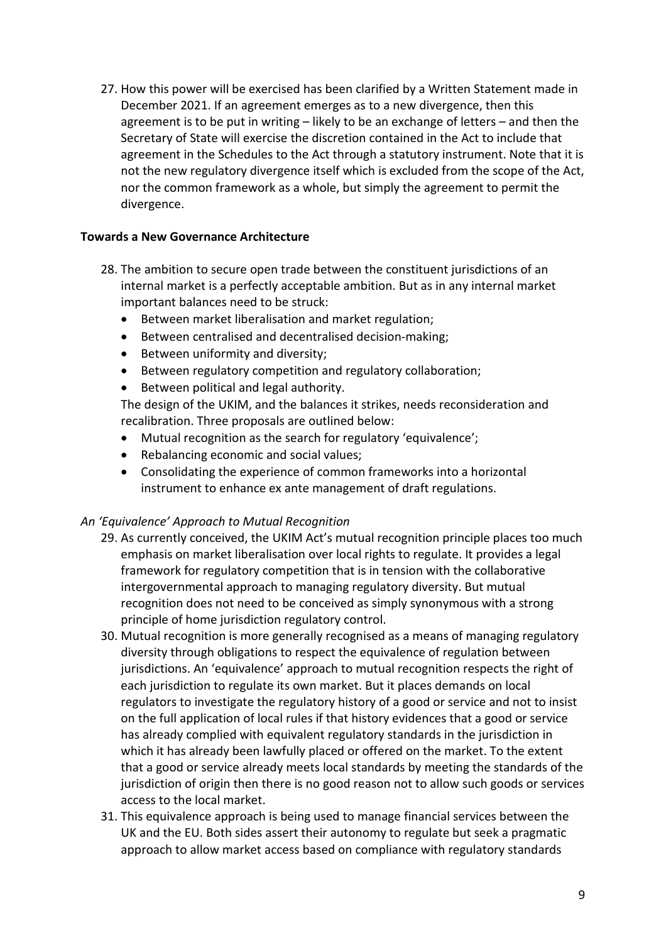27. How this power will be exercised has been clarified by a Written Statement made in December 2021. If an agreement emerges as to a new divergence, then this agreement is to be put in writing – likely to be an exchange of letters – and then the Secretary of State will exercise the discretion contained in the Act to include that agreement in the Schedules to the Act through a statutory instrument. Note that it is not the new regulatory divergence itself which is excluded from the scope of the Act, nor the common framework as a whole, but simply the agreement to permit the divergence.

### **Towards a New Governance Architecture**

- 28. The ambition to secure open trade between the constituent jurisdictions of an internal market is a perfectly acceptable ambition. But as in any internal market important balances need to be struck:
	- Between market liberalisation and market regulation;
	- Between centralised and decentralised decision-making;
	- Between uniformity and diversity;
	- Between regulatory competition and regulatory collaboration;
	- Between political and legal authority.

The design of the UKIM, and the balances it strikes, needs reconsideration and recalibration. Three proposals are outlined below:

- Mutual recognition as the search for regulatory 'equivalence';
- Rebalancing economic and social values;
- Consolidating the experience of common frameworks into a horizontal instrument to enhance ex ante management of draft regulations.

#### *An 'Equivalence' Approach to Mutual Recognition*

- 29. As currently conceived, the UKIM Act's mutual recognition principle places too much emphasis on market liberalisation over local rights to regulate. It provides a legal framework for regulatory competition that is in tension with the collaborative intergovernmental approach to managing regulatory diversity. But mutual recognition does not need to be conceived as simply synonymous with a strong principle of home jurisdiction regulatory control.
- 30. Mutual recognition is more generally recognised as a means of managing regulatory diversity through obligations to respect the equivalence of regulation between jurisdictions. An 'equivalence' approach to mutual recognition respects the right of each jurisdiction to regulate its own market. But it places demands on local regulators to investigate the regulatory history of a good or service and not to insist on the full application of local rules if that history evidences that a good or service has already complied with equivalent regulatory standards in the jurisdiction in which it has already been lawfully placed or offered on the market. To the extent that a good or service already meets local standards by meeting the standards of the jurisdiction of origin then there is no good reason not to allow such goods or services access to the local market.
- 31. This equivalence approach is being used to manage financial services between the UK and the EU. Both sides assert their autonomy to regulate but seek a pragmatic approach to allow market access based on compliance with regulatory standards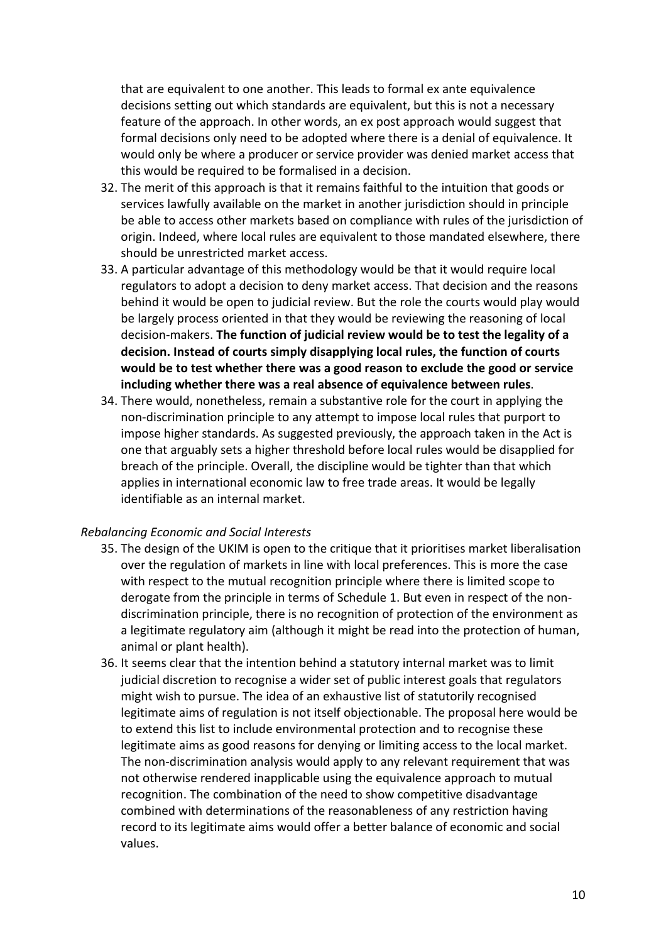that are equivalent to one another. This leads to formal ex ante equivalence decisions setting out which standards are equivalent, but this is not a necessary feature of the approach. In other words, an ex post approach would suggest that formal decisions only need to be adopted where there is a denial of equivalence. It would only be where a producer or service provider was denied market access that this would be required to be formalised in a decision.

- 32. The merit of this approach is that it remains faithful to the intuition that goods or services lawfully available on the market in another jurisdiction should in principle be able to access other markets based on compliance with rules of the jurisdiction of origin. Indeed, where local rules are equivalent to those mandated elsewhere, there should be unrestricted market access.
- 33. A particular advantage of this methodology would be that it would require local regulators to adopt a decision to deny market access. That decision and the reasons behind it would be open to judicial review. But the role the courts would play would be largely process oriented in that they would be reviewing the reasoning of local decision-makers. **The function of judicial review would be to test the legality of a decision. Instead of courts simply disapplying local rules, the function of courts would be to test whether there was a good reason to exclude the good or service including whether there was a real absence of equivalence between rules**.
- 34. There would, nonetheless, remain a substantive role for the court in applying the non-discrimination principle to any attempt to impose local rules that purport to impose higher standards. As suggested previously, the approach taken in the Act is one that arguably sets a higher threshold before local rules would be disapplied for breach of the principle. Overall, the discipline would be tighter than that which applies in international economic law to free trade areas. It would be legally identifiable as an internal market.

#### *Rebalancing Economic and Social Interests*

- 35. The design of the UKIM is open to the critique that it prioritises market liberalisation over the regulation of markets in line with local preferences. This is more the case with respect to the mutual recognition principle where there is limited scope to derogate from the principle in terms of Schedule 1. But even in respect of the nondiscrimination principle, there is no recognition of protection of the environment as a legitimate regulatory aim (although it might be read into the protection of human, animal or plant health).
- 36. It seems clear that the intention behind a statutory internal market was to limit judicial discretion to recognise a wider set of public interest goals that regulators might wish to pursue. The idea of an exhaustive list of statutorily recognised legitimate aims of regulation is not itself objectionable. The proposal here would be to extend this list to include environmental protection and to recognise these legitimate aims as good reasons for denying or limiting access to the local market. The non-discrimination analysis would apply to any relevant requirement that was not otherwise rendered inapplicable using the equivalence approach to mutual recognition. The combination of the need to show competitive disadvantage combined with determinations of the reasonableness of any restriction having record to its legitimate aims would offer a better balance of economic and social values.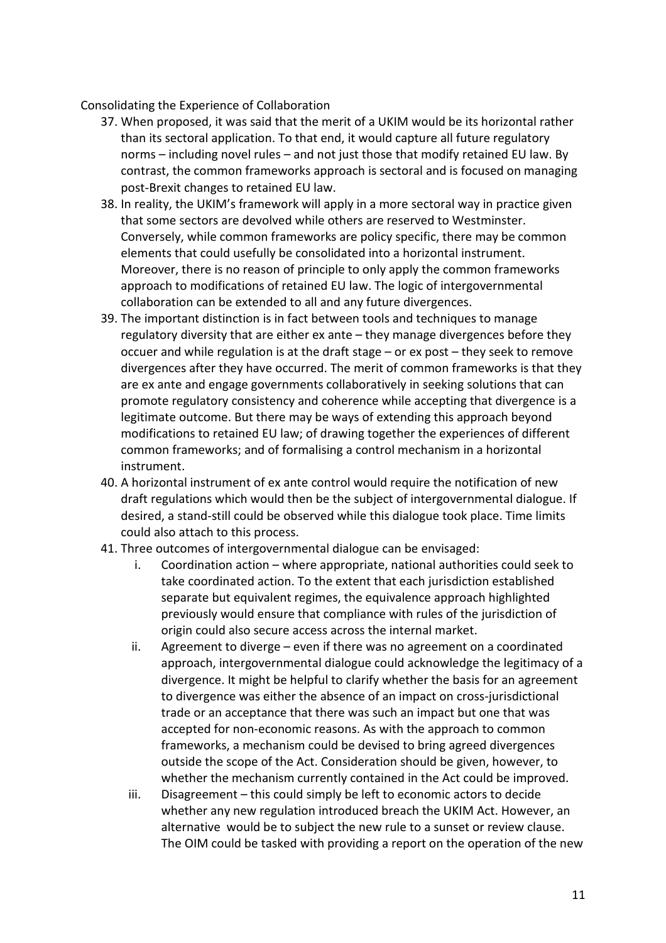Consolidating the Experience of Collaboration

- 37. When proposed, it was said that the merit of a UKIM would be its horizontal rather than its sectoral application. To that end, it would capture all future regulatory norms – including novel rules – and not just those that modify retained EU law. By contrast, the common frameworks approach is sectoral and is focused on managing post-Brexit changes to retained EU law.
- 38. In reality, the UKIM's framework will apply in a more sectoral way in practice given that some sectors are devolved while others are reserved to Westminster. Conversely, while common frameworks are policy specific, there may be common elements that could usefully be consolidated into a horizontal instrument. Moreover, there is no reason of principle to only apply the common frameworks approach to modifications of retained EU law. The logic of intergovernmental collaboration can be extended to all and any future divergences.
- 39. The important distinction is in fact between tools and techniques to manage regulatory diversity that are either ex ante – they manage divergences before they occuer and while regulation is at the draft stage – or ex post – they seek to remove divergences after they have occurred. The merit of common frameworks is that they are ex ante and engage governments collaboratively in seeking solutions that can promote regulatory consistency and coherence while accepting that divergence is a legitimate outcome. But there may be ways of extending this approach beyond modifications to retained EU law; of drawing together the experiences of different common frameworks; and of formalising a control mechanism in a horizontal instrument.
- 40. A horizontal instrument of ex ante control would require the notification of new draft regulations which would then be the subject of intergovernmental dialogue. If desired, a stand-still could be observed while this dialogue took place. Time limits could also attach to this process.
- 41. Three outcomes of intergovernmental dialogue can be envisaged:
	- i. Coordination action where appropriate, national authorities could seek to take coordinated action. To the extent that each jurisdiction established separate but equivalent regimes, the equivalence approach highlighted previously would ensure that compliance with rules of the jurisdiction of origin could also secure access across the internal market.
	- ii. Agreement to diverge even if there was no agreement on a coordinated approach, intergovernmental dialogue could acknowledge the legitimacy of a divergence. It might be helpful to clarify whether the basis for an agreement to divergence was either the absence of an impact on cross-jurisdictional trade or an acceptance that there was such an impact but one that was accepted for non-economic reasons. As with the approach to common frameworks, a mechanism could be devised to bring agreed divergences outside the scope of the Act. Consideration should be given, however, to whether the mechanism currently contained in the Act could be improved.
	- iii. Disagreement this could simply be left to economic actors to decide whether any new regulation introduced breach the UKIM Act. However, an alternative would be to subject the new rule to a sunset or review clause. The OIM could be tasked with providing a report on the operation of the new